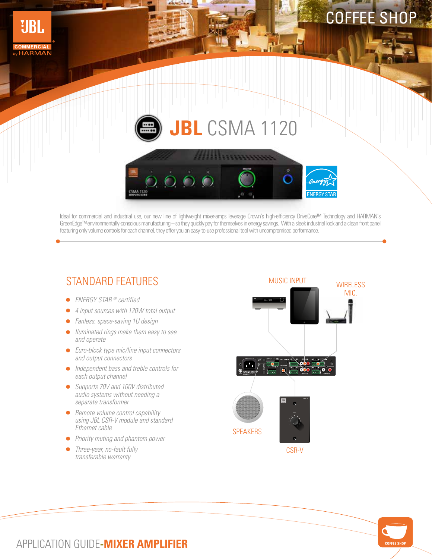

## **JBL** CSMA 1120



Ideal for commercial and industrial use, our new line of lightweight mixer-amps leverage Crown's high-efficiency DriveCore™ Technology and HARMAN's GreenEdge™ environmentally-conscious manufacturing – so they quickly pay for themselves in energy savings. With a sleek industrial look and a clean front panel featuring only volume controls for each channel, they offer you an easy-to-use professional tool with uncompromised performance.

## STANDARD FEATURES

ENERGY STAR ® certified

**UBL** 

**HARMAN** 

- 4 input sources with 120W total output
- Fanless, space-saving 1U design
- Iluminated rings make them easy to see and operate
- Euro-block type mic/line input connectors and output connectors
- Independent bass and treble controls for each output channel
- Supports 70V and 100V distributed audio systems without needing a separate transformer
- Remote volume control capability using JBL CSR-V module and standard Ethernet cable
- Priority muting and phantom power
- Three-year, no-fault fully transferable warranty





## APPLICATION GUIDE**-MIXER AMPLIFIER**